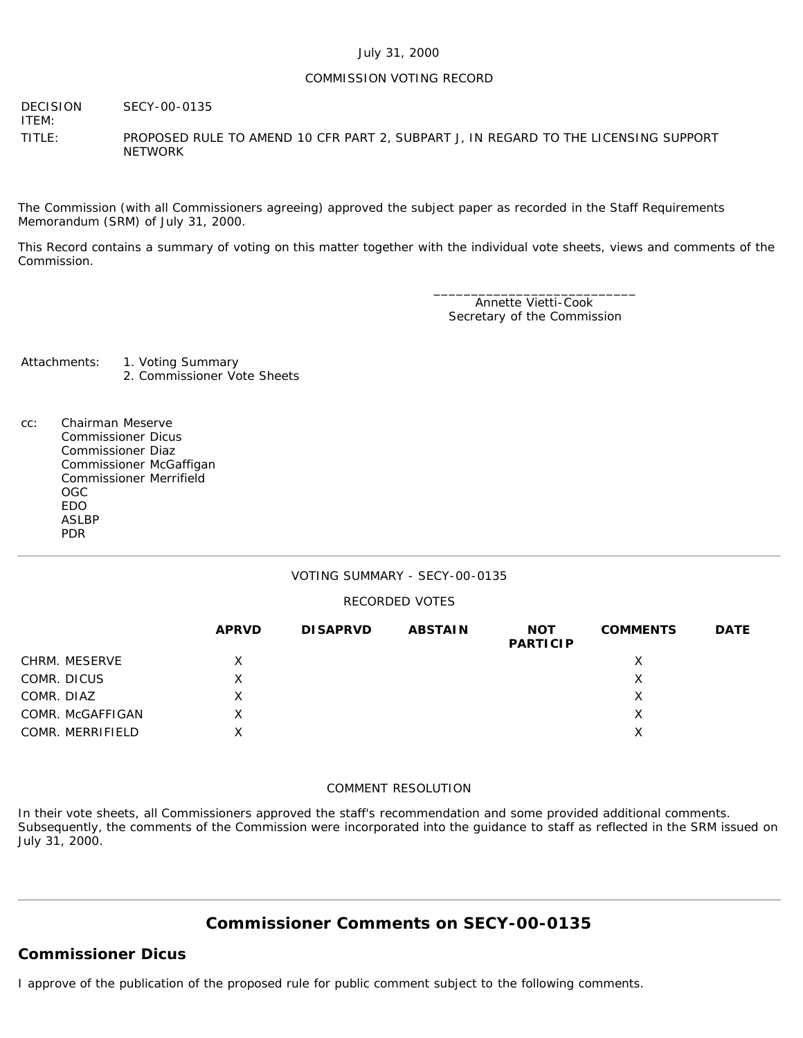### July 31, 2000

### COMMISSION VOTING RECORD

DECISION SECY-00-0135

ITEM:

TITLE: PROPOSED RULE TO AMEND 10 CFR PART 2, SUBPART J, IN REGARD TO THE LICENSING SUPPORT **NETWORK** 

The Commission (with all Commissioners agreeing) approved the subject paper as recorded in the Staff Requirements Memorandum (SRM) of July 31, 2000.

This Record contains a summary of voting on this matter together with the individual vote sheets, views and comments of the Commission.

> \_\_\_\_\_\_\_\_\_\_\_\_\_\_\_\_\_\_\_\_\_\_\_\_\_\_\_ Annette Vietti-Cook Secretary of the Commission

Attachments: 1. Voting Summary 2. Commissioner Vote Sheets

cc: Chairman Meserve Commissioner Dicus Commissioner Diaz Commissioner McGaffigan Commissioner Merrifield OGC EDO ASLBP PDR

### VOTING SUMMARY - SECY-00-0135

#### RECORDED VOTES

|                  | <b>APRVD</b> | <b>DISAPRVD</b> | <b>ABSTAIN</b> | <b>NOT</b><br><b>PARTICIP</b> | <b>COMMENTS</b> | <b>DATE</b> |
|------------------|--------------|-----------------|----------------|-------------------------------|-----------------|-------------|
| CHRM. MESERVE    | X            |                 |                |                               | х               |             |
| COMR. DICUS      | X            |                 |                |                               | х               |             |
| COMR. DIAZ       | X            |                 |                |                               | X               |             |
| COMR. McGAFFIGAN | X            |                 |                |                               | X               |             |
| COMR. MERRIFIELD | х            |                 |                |                               | X               |             |

### COMMENT RESOLUTION

In their vote sheets, all Commissioners approved the staff's recommendation and some provided additional comments. Subsequently, the comments of the Commission were incorporated into the guidance to staff as reflected in the SRM issued on July 31, 2000.

# **Commissioner Comments on SECY-00-0135**

# **Commissioner Dicus**

I approve of the publication of the proposed rule for public comment subject to the following comments.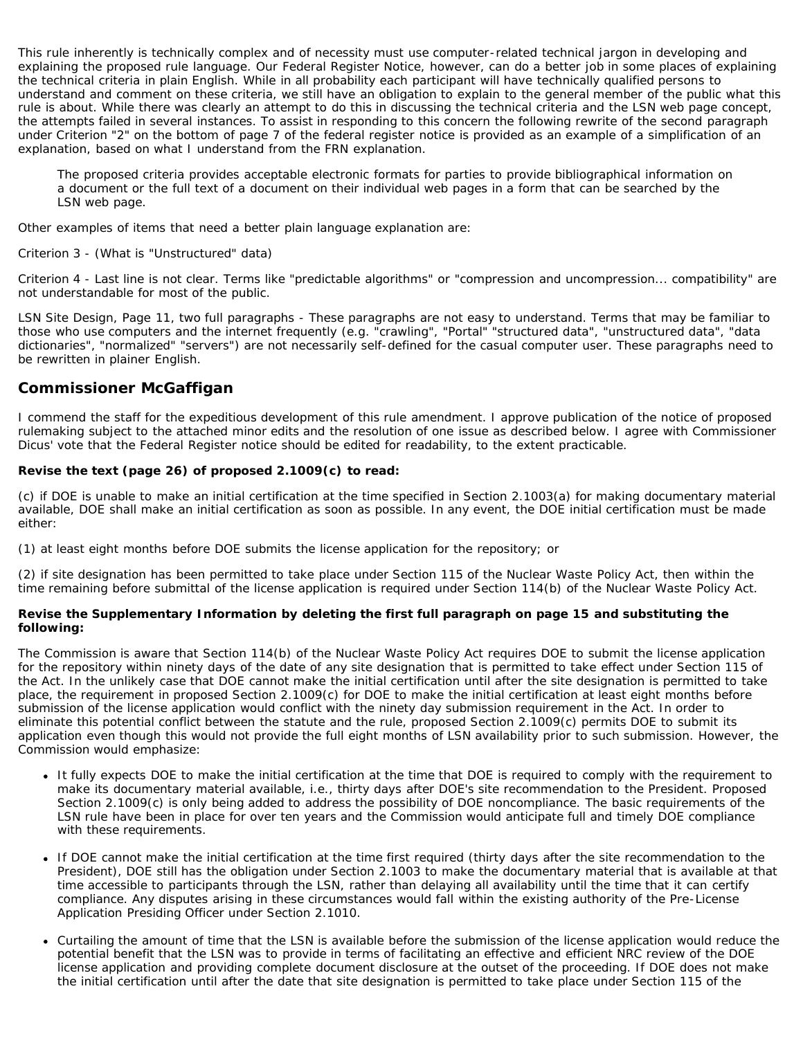This rule inherently is technically complex and of necessity must use computer-related technical jargon in developing and explaining the proposed rule language. Our Federal Register Notice, however, can do a better job in some places of explaining the technical criteria in plain English. While in all probability each participant will have technically qualified persons to understand and comment on these criteria, we still have an obligation to explain to the general member of the public what this rule is about. While there was clearly an attempt to do this in discussing the technical criteria and the LSN web page concept, the attempts failed in several instances. To assist in responding to this concern the following rewrite of the second paragraph under Criterion "2" on the bottom of page 7 of the federal register notice is provided as an example of a simplification of an explanation, based on what I understand from the FRN explanation.

The proposed criteria provides acceptable electronic formats for parties to provide bibliographical information on a document or the full text of a document on their individual web pages in a form that can be searched by the LSN web page.

Other examples of items that need a better plain language explanation are:

### Criterion 3 - (What is "Unstructured" data)

Criterion 4 - Last line is not clear. Terms like "predictable algorithms" or "compression and uncompression... compatibility" are not understandable for most of the public.

LSN Site Design, Page 11, two full paragraphs - These paragraphs are not easy to understand. Terms that may be familiar to those who use computers and the internet frequently (e.g. "crawling", "Portal" "structured data", "unstructured data", "data dictionaries", "normalized" "servers") are not necessarily self-defined for the casual computer user. These paragraphs need to be rewritten in plainer English.

# **Commissioner McGaffigan**

I commend the staff for the expeditious development of this rule amendment. I approve publication of the notice of proposed rulemaking subject to the attached minor edits and the resolution of one issue as described below. I agree with Commissioner Dicus' vote that the Federal Register notice should be edited for readability, to the extent practicable.

## **Revise the text (page 26) of proposed 2.1009(c) to read:**

(c) if DOE is unable to make an initial certification at the time specified in Section 2.1003(a) for making documentary material available, DOE shall make an initial certification as soon as possible. In any event, the DOE initial certification must be made either:

(1) at least eight months before DOE submits the license application for the repository; or

(2) if site designation has been permitted to take place under Section 115 of the Nuclear Waste Policy Act, then within the time remaining before submittal of the license application is required under Section 114(b) of the Nuclear Waste Policy Act.

## **Revise the Supplementary Information by deleting the first full paragraph on page 15 and substituting the following:**

The Commission is aware that Section 114(b) of the Nuclear Waste Policy Act requires DOE to submit the license application for the repository within ninety days of the date of any site designation that is permitted to take effect under Section 115 of the Act. In the unlikely case that DOE cannot make the initial certification until after the site designation is permitted to take place, the requirement in proposed Section 2.1009(c) for DOE to make the initial certification at least eight months before submission of the license application would conflict with the ninety day submission requirement in the Act. In order to eliminate this potential conflict between the statute and the rule, proposed Section 2.1009(c) permits DOE to submit its application even though this would not provide the full eight months of LSN availability prior to such submission. However, the Commission would emphasize:

- It fully expects DOE to make the initial certification at the time that DOE is required to comply with the requirement to make its documentary material available, i.e., thirty days after DOE's site recommendation to the President. Proposed Section 2.1009(c) is only being added to address the possibility of DOE noncompliance. The basic requirements of the LSN rule have been in place for over ten years and the Commission would anticipate full and timely DOE compliance with these requirements.
- If DOE cannot make the initial certification at the time first required (thirty days after the site recommendation to the President), DOE still has the obligation under Section 2.1003 to make the documentary material that is available at that time accessible to participants through the LSN, rather than delaying all availability until the time that it can certify compliance. Any disputes arising in these circumstances would fall within the existing authority of the Pre-License Application Presiding Officer under Section 2.1010.
- Curtailing the amount of time that the LSN is available before the submission of the license application would reduce the potential benefit that the LSN was to provide in terms of facilitating an effective and efficient NRC review of the DOE license application and providing complete document disclosure at the outset of the proceeding. If DOE does not make the initial certification until after the date that site designation is permitted to take place under Section 115 of the